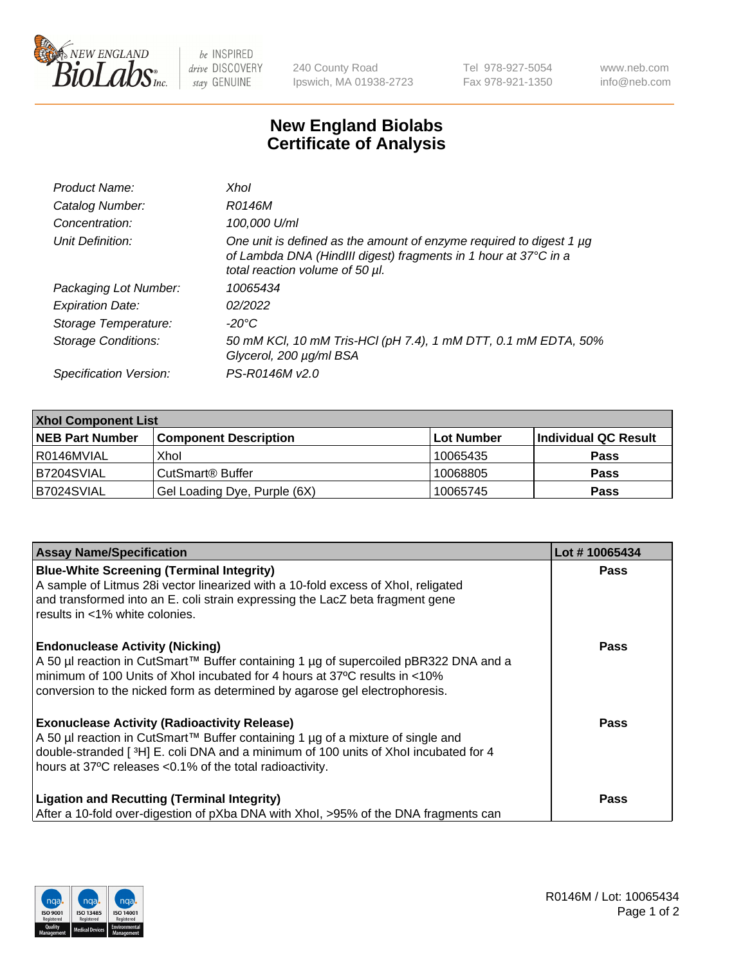

 $be$  INSPIRED drive DISCOVERY stay GENUINE

240 County Road Ipswich, MA 01938-2723 Tel 978-927-5054 Fax 978-921-1350 www.neb.com info@neb.com

## **New England Biolabs Certificate of Analysis**

| Product Name:              | Xhol                                                                                                                                                                      |
|----------------------------|---------------------------------------------------------------------------------------------------------------------------------------------------------------------------|
| Catalog Number:            | R0146M                                                                                                                                                                    |
| Concentration:             | 100,000 U/ml                                                                                                                                                              |
| Unit Definition:           | One unit is defined as the amount of enzyme required to digest 1 µg<br>of Lambda DNA (HindIII digest) fragments in 1 hour at 37°C in a<br>total reaction volume of 50 µl. |
| Packaging Lot Number:      | 10065434                                                                                                                                                                  |
| <b>Expiration Date:</b>    | 02/2022                                                                                                                                                                   |
| Storage Temperature:       | -20°C                                                                                                                                                                     |
| <b>Storage Conditions:</b> | 50 mM KCl, 10 mM Tris-HCl (pH 7.4), 1 mM DTT, 0.1 mM EDTA, 50%<br>Glycerol, 200 µg/ml BSA                                                                                 |
| Specification Version:     | PS-R0146M v2.0                                                                                                                                                            |

| <b>Xhol Component List</b> |                              |              |                      |  |  |
|----------------------------|------------------------------|--------------|----------------------|--|--|
| <b>NEB Part Number</b>     | <b>Component Description</b> | l Lot Number | Individual QC Result |  |  |
| l R0146MVIAL               | Xhol                         | 10065435     | <b>Pass</b>          |  |  |
| IB7204SVIAL                | l CutSmart® Buffer           | 10068805     | <b>Pass</b>          |  |  |
| B7024SVIAL                 | Gel Loading Dye, Purple (6X) | 10065745     | <b>Pass</b>          |  |  |

| <b>Assay Name/Specification</b><br>Lot #10065434                                                                                                                                                                                                               |
|----------------------------------------------------------------------------------------------------------------------------------------------------------------------------------------------------------------------------------------------------------------|
| <b>Blue-White Screening (Terminal Integrity)</b><br><b>Pass</b><br>A sample of Litmus 28i vector linearized with a 10-fold excess of Xhol, religated<br>and transformed into an E. coli strain expressing the LacZ beta fragment gene                          |
| results in <1% white colonies.                                                                                                                                                                                                                                 |
| <b>Endonuclease Activity (Nicking)</b><br><b>Pass</b>                                                                                                                                                                                                          |
| minimum of 100 Units of Xhol incubated for 4 hours at 37°C results in <10%<br>conversion to the nicked form as determined by agarose gel electrophoresis.                                                                                                      |
| <b>Exonuclease Activity (Radioactivity Release)</b><br><b>Pass</b>                                                                                                                                                                                             |
| double-stranded [3H] E. coli DNA and a minimum of 100 units of Xhol incubated for 4<br>hours at 37°C releases <0.1% of the total radioactivity.                                                                                                                |
| <b>Ligation and Recutting (Terminal Integrity)</b><br><b>Pass</b>                                                                                                                                                                                              |
| A 50 µl reaction in CutSmart™ Buffer containing 1 µg of supercoiled pBR322 DNA and a<br>A 50 µl reaction in CutSmart™ Buffer containing 1 µg of a mixture of single and<br>After a 10-fold over-digestion of pXba DNA with Xhol, >95% of the DNA fragments can |